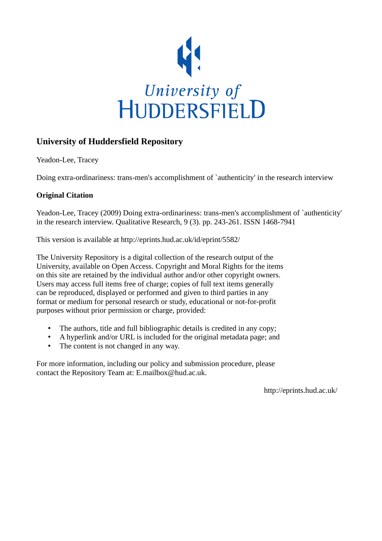

## **University of Huddersfield Repository**

Yeadon-Lee, Tracey

Doing extra-ordinariness: trans-men's accomplishment of `authenticity' in the research interview

## **Original Citation**

Yeadon-Lee, Tracey (2009) Doing extra-ordinariness: trans-men's accomplishment of `authenticity' in the research interview. Qualitative Research, 9 (3). pp. 243-261. ISSN 1468-7941

This version is available at http://eprints.hud.ac.uk/id/eprint/5582/

The University Repository is a digital collection of the research output of the University, available on Open Access. Copyright and Moral Rights for the items on this site are retained by the individual author and/or other copyright owners. Users may access full items free of charge; copies of full text items generally can be reproduced, displayed or performed and given to third parties in any format or medium for personal research or study, educational or not-for-profit purposes without prior permission or charge, provided:

- The authors, title and full bibliographic details is credited in any copy;
- A hyperlink and/or URL is included for the original metadata page; and
- The content is not changed in any way.

For more information, including our policy and submission procedure, please contact the Repository Team at: E.mailbox@hud.ac.uk.

http://eprints.hud.ac.uk/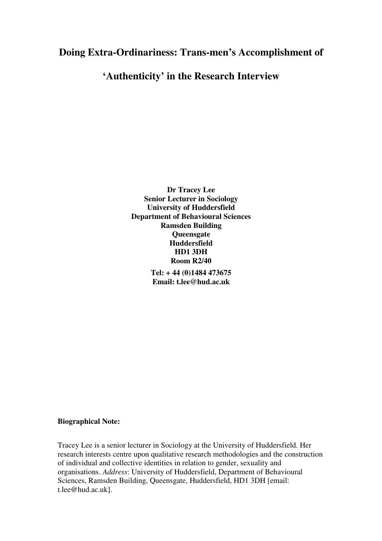# **Doing Extra-Ordinariness: Trans-men's Accomplishment of**

# **'Authenticity' in the Research Interview**

**Dr Tracey Lee Senior Lecturer in Sociology University of Huddersfield Department of Behavioural Sciences Ramsden Building Queensgate Huddersfield HD1 3DH Room R2/40** 

> **Tel: + 44 (0)1484 473675 Email: t.lee@hud.ac.uk**

## **Biographical Note:**

Tracey Lee is a senior lecturer in Sociology at the University of Huddersfield. Her research interests centre upon qualitative research methodologies and the construction of individual and collective identities in relation to gender, sexuality and organisations. *Address*: University of Huddersfield, Department of Behavioural Sciences, Ramsden Building, Queensgate, Huddersfield, HD1 3DH [email: t.lee@hud.ac.uk].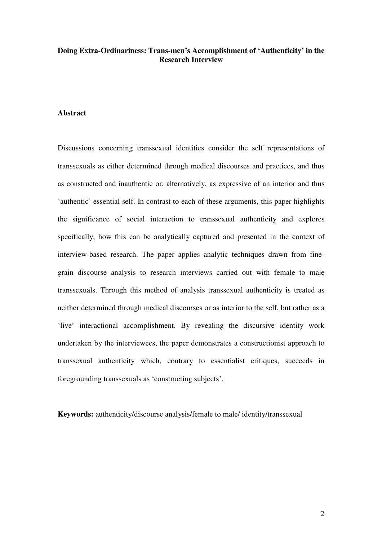## **Doing Extra-Ordinariness: Trans-men's Accomplishment of 'Authenticity' in the Research Interview**

#### **Abstract**

Discussions concerning transsexual identities consider the self representations of transsexuals as either determined through medical discourses and practices, and thus as constructed and inauthentic or, alternatively, as expressive of an interior and thus 'authentic' essential self. In contrast to each of these arguments, this paper highlights the significance of social interaction to transsexual authenticity and explores specifically, how this can be analytically captured and presented in the context of interview-based research. The paper applies analytic techniques drawn from finegrain discourse analysis to research interviews carried out with female to male transsexuals. Through this method of analysis transsexual authenticity is treated as neither determined through medical discourses or as interior to the self, but rather as a 'live' interactional accomplishment. By revealing the discursive identity work undertaken by the interviewees, the paper demonstrates a constructionist approach to transsexual authenticity which, contrary to essentialist critiques, succeeds in foregrounding transsexuals as 'constructing subjects'.

**Keywords:** authenticity/discourse analysis/female to male/ identity/transsexual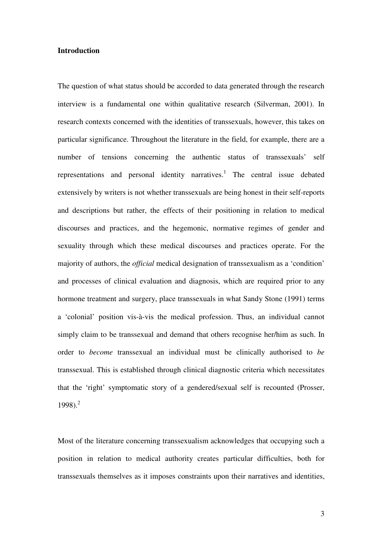### **Introduction**

The question of what status should be accorded to data generated through the research interview is a fundamental one within qualitative research (Silverman, 2001). In research contexts concerned with the identities of transsexuals, however, this takes on particular significance. Throughout the literature in the field, for example, there are a number of tensions concerning the authentic status of transsexuals' self representations and personal identity narratives.<sup>1</sup> The central issue debated extensively by writers is not whether transsexuals are being honest in their self-reports and descriptions but rather, the effects of their positioning in relation to medical discourses and practices, and the hegemonic, normative regimes of gender and sexuality through which these medical discourses and practices operate. For the majority of authors, the *official* medical designation of transsexualism as a 'condition' and processes of clinical evaluation and diagnosis, which are required prior to any hormone treatment and surgery, place transsexuals in what Sandy Stone (1991) terms a 'colonial' position vis-à-vis the medical profession. Thus, an individual cannot simply claim to be transsexual and demand that others recognise her/him as such. In order to *become* transsexual an individual must be clinically authorised to *be* transsexual. This is established through clinical diagnostic criteria which necessitates that the 'right' symptomatic story of a gendered/sexual self is recounted (Prosser, 1998). $^{2}$ 

Most of the literature concerning transsexualism acknowledges that occupying such a position in relation to medical authority creates particular difficulties, both for transsexuals themselves as it imposes constraints upon their narratives and identities,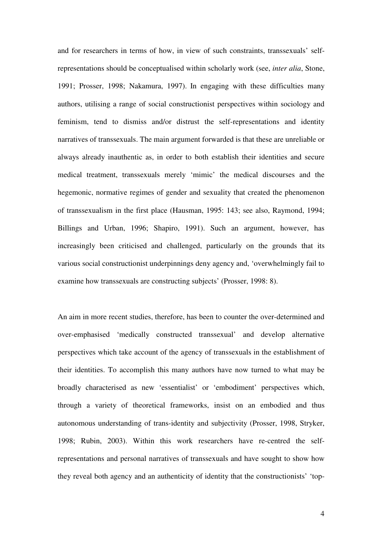and for researchers in terms of how, in view of such constraints, transsexuals' selfrepresentations should be conceptualised within scholarly work (see, *inter alia*, Stone, 1991; Prosser, 1998; Nakamura, 1997). In engaging with these difficulties many authors, utilising a range of social constructionist perspectives within sociology and feminism, tend to dismiss and/or distrust the self-representations and identity narratives of transsexuals. The main argument forwarded is that these are unreliable or always already inauthentic as, in order to both establish their identities and secure medical treatment, transsexuals merely 'mimic' the medical discourses and the hegemonic, normative regimes of gender and sexuality that created the phenomenon of transsexualism in the first place (Hausman, 1995: 143; see also, Raymond, 1994; Billings and Urban, 1996; Shapiro, 1991). Such an argument, however, has increasingly been criticised and challenged, particularly on the grounds that its various social constructionist underpinnings deny agency and, 'overwhelmingly fail to examine how transsexuals are constructing subjects' (Prosser, 1998: 8).

An aim in more recent studies, therefore, has been to counter the over-determined and over-emphasised 'medically constructed transsexual' and develop alternative perspectives which take account of the agency of transsexuals in the establishment of their identities. To accomplish this many authors have now turned to what may be broadly characterised as new 'essentialist' or 'embodiment' perspectives which, through a variety of theoretical frameworks, insist on an embodied and thus autonomous understanding of trans-identity and subjectivity (Prosser, 1998, Stryker, 1998; Rubin, 2003). Within this work researchers have re-centred the selfrepresentations and personal narratives of transsexuals and have sought to show how they reveal both agency and an authenticity of identity that the constructionists' 'top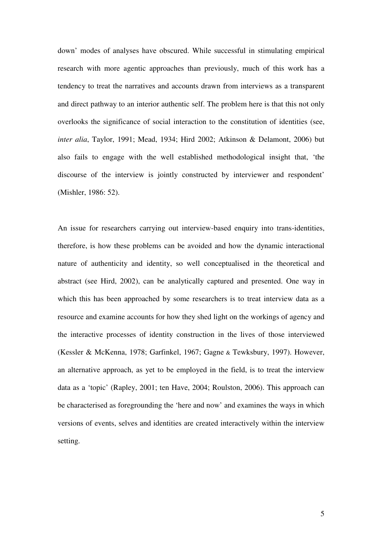down' modes of analyses have obscured. While successful in stimulating empirical research with more agentic approaches than previously, much of this work has a tendency to treat the narratives and accounts drawn from interviews as a transparent and direct pathway to an interior authentic self. The problem here is that this not only overlooks the significance of social interaction to the constitution of identities (see, *inter alia*, Taylor, 1991; Mead, 1934; Hird 2002; Atkinson & Delamont, 2006) but also fails to engage with the well established methodological insight that, 'the discourse of the interview is jointly constructed by interviewer and respondent' (Mishler, 1986: 52).

An issue for researchers carrying out interview-based enquiry into trans-identities, therefore, is how these problems can be avoided and how the dynamic interactional nature of authenticity and identity, so well conceptualised in the theoretical and abstract (see Hird, 2002), can be analytically captured and presented. One way in which this has been approached by some researchers is to treat interview data as a resource and examine accounts for how they shed light on the workings of agency and the interactive processes of identity construction in the lives of those interviewed (Kessler & McKenna, 1978; Garfinkel, 1967; Gagne & Tewksbury, 1997). However, an alternative approach, as yet to be employed in the field, is to treat the interview data as a 'topic' (Rapley, 2001; ten Have, 2004; Roulston, 2006). This approach can be characterised as foregrounding the 'here and now' and examines the ways in which versions of events, selves and identities are created interactively within the interview setting.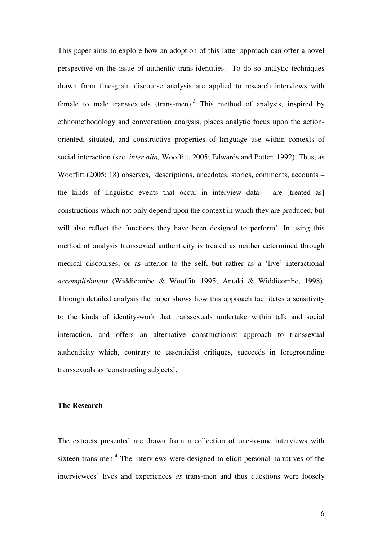This paper aims to explore how an adoption of this latter approach can offer a novel perspective on the issue of authentic trans-identities. To do so analytic techniques drawn from fine-grain discourse analysis are applied to research interviews with female to male transsexuals (trans-men).<sup>3</sup> This method of analysis, inspired by ethnomethodology and conversation analysis, places analytic focus upon the actionoriented, situated, and constructive properties of language use within contexts of social interaction (see, *inter alia,* Wooffitt, 2005; Edwards and Potter, 1992). Thus, as Wooffitt (2005: 18) observes, 'descriptions, anecdotes, stories, comments, accounts – the kinds of linguistic events that occur in interview data – are [treated as] constructions which not only depend upon the context in which they are produced, but will also reflect the functions they have been designed to perform'. In using this method of analysis transsexual authenticity is treated as neither determined through medical discourses, or as interior to the self, but rather as a 'live' interactional *accomplishment* (Widdicombe & Wooffitt 1995; Antaki & Widdicombe, 1998). Through detailed analysis the paper shows how this approach facilitates a sensitivity to the kinds of identity-work that transsexuals undertake within talk and social interaction, and offers an alternative constructionist approach to transsexual authenticity which, contrary to essentialist critiques, succeeds in foregrounding transsexuals as 'constructing subjects'.

## **The Research**

The extracts presented are drawn from a collection of one-to-one interviews with sixteen trans-men.<sup>4</sup> The interviews were designed to elicit personal narratives of the interviewees' lives and experiences *as* trans-men and thus questions were loosely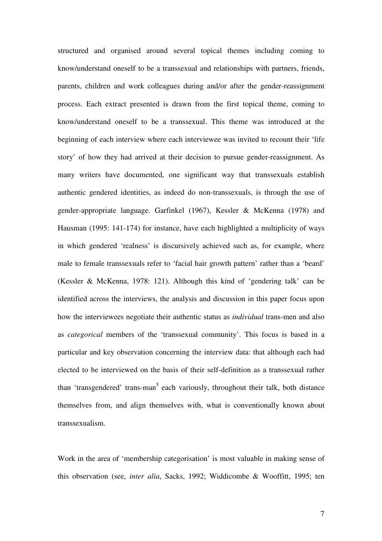structured and organised around several topical themes including coming to know/understand oneself to be a transsexual and relationships with partners, friends, parents, children and work colleagues during and/or after the gender-reassignment process. Each extract presented is drawn from the first topical theme, coming to know/understand oneself to be a transsexual. This theme was introduced at the beginning of each interview where each interviewee was invited to recount their 'life story' of how they had arrived at their decision to pursue gender-reassignment. As many writers have documented, one significant way that transsexuals establish authentic gendered identities, as indeed do non-transsexuals, is through the use of gender-appropriate language. Garfinkel (1967), Kessler & McKenna (1978) and Hausman (1995: 141-174) for instance, have each highlighted a multiplicity of ways in which gendered 'realness' is discursively achieved such as, for example, where male to female transsexuals refer to 'facial hair growth pattern' rather than a 'beard' (Kessler & McKenna, 1978: 121). Although this kind of 'gendering talk' can be identified across the interviews, the analysis and discussion in this paper focus upon how the interviewees negotiate their authentic status as *individual* trans-men and also as *categorical* members of the 'transsexual community'. This focus is based in a particular and key observation concerning the interview data: that although each had elected to be interviewed on the basis of their self-definition as a transsexual rather than 'transgendered' trans-man<sup>5</sup> each variously, throughout their talk, both distance themselves from, and align themselves with, what is conventionally known about transsexualism.

Work in the area of 'membership categorisation' is most valuable in making sense of this observation (see, *inter alia*, Sacks, 1992; Widdicombe & Wooffitt, 1995; ten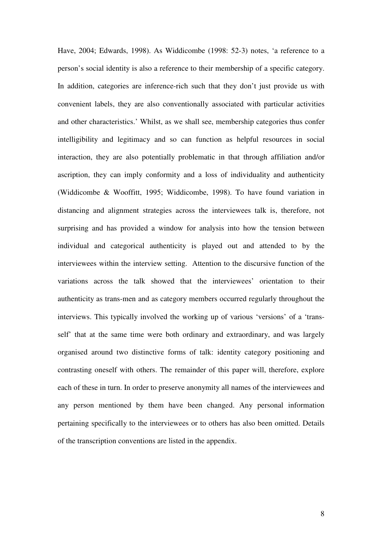Have, 2004; Edwards, 1998). As Widdicombe (1998: 52-3) notes, 'a reference to a person's social identity is also a reference to their membership of a specific category. In addition, categories are inference-rich such that they don't just provide us with convenient labels, they are also conventionally associated with particular activities and other characteristics.' Whilst, as we shall see, membership categories thus confer intelligibility and legitimacy and so can function as helpful resources in social interaction, they are also potentially problematic in that through affiliation and/or ascription, they can imply conformity and a loss of individuality and authenticity (Widdicombe & Wooffitt, 1995; Widdicombe, 1998). To have found variation in distancing and alignment strategies across the interviewees talk is, therefore, not surprising and has provided a window for analysis into how the tension between individual and categorical authenticity is played out and attended to by the interviewees within the interview setting. Attention to the discursive function of the variations across the talk showed that the interviewees' orientation to their authenticity as trans-men and as category members occurred regularly throughout the interviews. This typically involved the working up of various 'versions' of a 'transself' that at the same time were both ordinary and extraordinary, and was largely organised around two distinctive forms of talk: identity category positioning and contrasting oneself with others. The remainder of this paper will, therefore, explore each of these in turn. In order to preserve anonymity all names of the interviewees and any person mentioned by them have been changed. Any personal information pertaining specifically to the interviewees or to others has also been omitted. Details of the transcription conventions are listed in the appendix.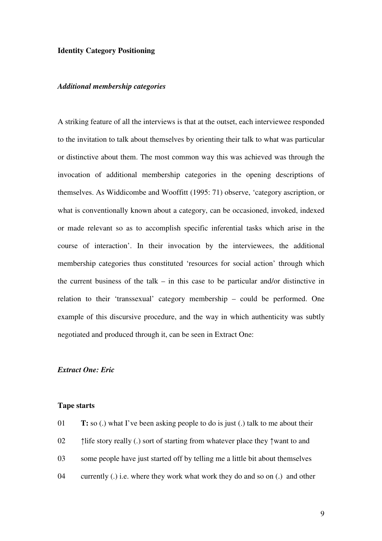## **Identity Category Positioning**

## *Additional membership categories*

A striking feature of all the interviews is that at the outset, each interviewee responded to the invitation to talk about themselves by orienting their talk to what was particular or distinctive about them. The most common way this was achieved was through the invocation of additional membership categories in the opening descriptions of themselves. As Widdicombe and Wooffitt (1995: 71) observe, 'category ascription, or what is conventionally known about a category, can be occasioned, invoked, indexed or made relevant so as to accomplish specific inferential tasks which arise in the course of interaction'. In their invocation by the interviewees, the additional membership categories thus constituted 'resources for social action' through which the current business of the talk – in this case to be particular and/or distinctive in relation to their 'transsexual' category membership – could be performed. One example of this discursive procedure, and the way in which authenticity was subtly negotiated and produced through it, can be seen in Extract One:

## *Extract One: Eric*

### **Tape starts**

| 01 | <b>T:</b> so (.) what I've been asking people to do is just (.) talk to me about their |
|----|----------------------------------------------------------------------------------------|
| 02 | The story really (.) sort of starting from whatever place they $\uparrow$ want to and  |
| 03 | some people have just started off by telling me a little bit about themselves          |
| 04 | currently (.) i.e. where they work what work they do and so on (.) and other           |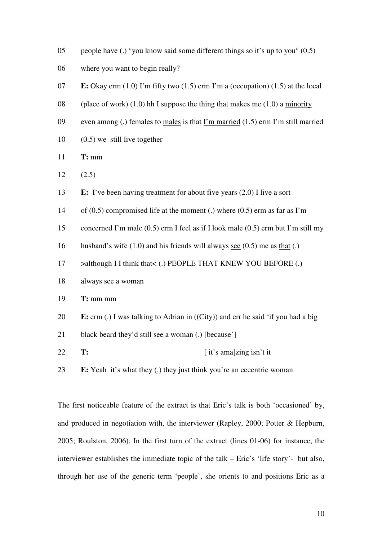- 05 people have (.) °you know said some different things so it's up to you  $(0.5)$
- 06 where you want to begin really?
- 07 **E:** Okay erm (1.0) I'm fifty two (1.5) erm I'm a (occupation) (1.5) at the local
- 08 (place of work)  $(1.0)$  hh I suppose the thing that makes me  $(1.0)$  a minority
- 09 even among (.) females to males is that  $\Gamma$ m married (1.5) erm  $\Gamma$ m still married
- 10 (0.5) we still live together
- 11 **T:** mm
- $12 \t(2.5)$
- 13 **E:** I've been having treatment for about five years (2.0) I live a sort
- 14 of (0.5) compromised life at the moment (.) where (0.5) erm as far as I'm
- 15 concerned I'm male (0.5) erm I feel as if I look male (0.5) erm but I'm still my
- 16 husband's wife (1.0) and his friends will always see (0.5) me as that (.)
- 17  $\rightarrow$  although I I think that< (.) PEOPLE THAT KNEW YOU BEFORE (.)
- 18 always see a woman
- 19 **T:** mm mm
- 20 **E:** erm (.) I was talking to Adrian in ((City)) and err he said 'if you had a big
- 21 black beard they'd still see a woman (.) [because']
- 22 **T:** [ it's ama]zing isn't it
- 23 **E:** Yeah it's what they (.) they just think you're an eccentric woman

The first noticeable feature of the extract is that Eric's talk is both 'occasioned' by, and produced in negotiation with, the interviewer (Rapley, 2000; Potter & Hepburn, 2005; Roulston, 2006). In the first turn of the extract (lines 01-06) for instance, the interviewer establishes the immediate topic of the talk – Eric's 'life story'- but also, through her use of the generic term 'people', she orients to and positions Eric as a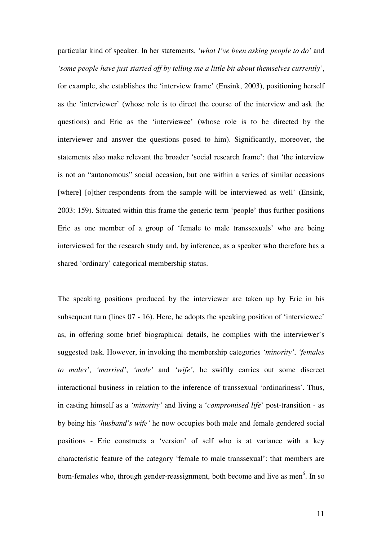particular kind of speaker. In her statements, *'what I've been asking people to do'* and *'some people have just started off by telling me a little bit about themselves currently'*, for example, she establishes the 'interview frame' (Ensink, 2003), positioning herself as the 'interviewer' (whose role is to direct the course of the interview and ask the questions) and Eric as the 'interviewee' (whose role is to be directed by the interviewer and answer the questions posed to him). Significantly, moreover, the statements also make relevant the broader 'social research frame': that 'the interview is not an "autonomous" social occasion, but one within a series of similar occasions [where] [o]ther respondents from the sample will be interviewed as well' (Ensink, 2003: 159). Situated within this frame the generic term 'people' thus further positions Eric as one member of a group of 'female to male transsexuals' who are being interviewed for the research study and, by inference, as a speaker who therefore has a shared 'ordinary' categorical membership status.

The speaking positions produced by the interviewer are taken up by Eric in his subsequent turn (lines 07 - 16). Here, he adopts the speaking position of 'interviewee' as, in offering some brief biographical details, he complies with the interviewer's suggested task. However, in invoking the membership categories *'minority'*, *'females to males'*, *'married'*, *'male'* and *'wife'*, he swiftly carries out some discreet interactional business in relation to the inference of transsexual 'ordinariness'. Thus, in casting himself as a *'minority'* and living a '*compromised life*' post-transition - as by being his *'husband's wife'* he now occupies both male and female gendered social positions - Eric constructs a 'version' of self who is at variance with a key characteristic feature of the category 'female to male transsexual': that members are born-females who, through gender-reassignment, both become and live as men<sup>6</sup>. In so

11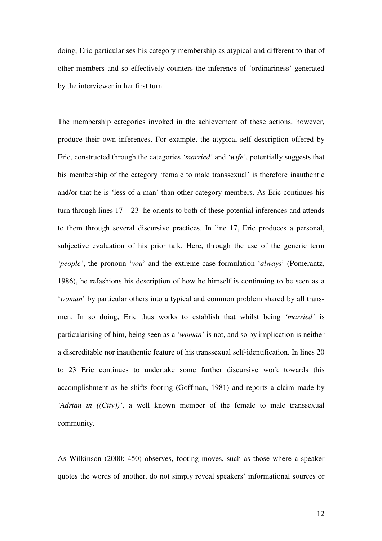doing, Eric particularises his category membership as atypical and different to that of other members and so effectively counters the inference of 'ordinariness' generated by the interviewer in her first turn.

The membership categories invoked in the achievement of these actions, however, produce their own inferences. For example, the atypical self description offered by Eric, constructed through the categories *'married'* and *'wife'*, potentially suggests that his membership of the category 'female to male transsexual' is therefore inauthentic and/or that he is 'less of a man' than other category members. As Eric continues his turn through lines  $17 - 23$  he orients to both of these potential inferences and attends to them through several discursive practices. In line 17, Eric produces a personal, subjective evaluation of his prior talk. Here, through the use of the generic term *'people'*, the pronoun '*you*' and the extreme case formulation '*always*' (Pomerantz, 1986), he refashions his description of how he himself is continuing to be seen as a '*woman*' by particular others into a typical and common problem shared by all transmen. In so doing, Eric thus works to establish that whilst being *'married'* is particularising of him, being seen as a *'woman'* is not, and so by implication is neither a discreditable nor inauthentic feature of his transsexual self-identification. In lines 20 to 23 Eric continues to undertake some further discursive work towards this accomplishment as he shifts footing (Goffman, 1981) and reports a claim made by *'Adrian in ((City))'*, a well known member of the female to male transsexual community.

As Wilkinson (2000: 450) observes, footing moves, such as those where a speaker quotes the words of another, do not simply reveal speakers' informational sources or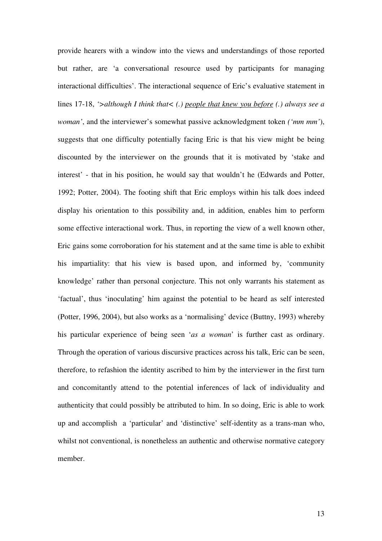provide hearers with a window into the views and understandings of those reported but rather, are 'a conversational resource used by participants for managing interactional difficulties'. The interactional sequence of Eric's evaluative statement in lines 17-18, *'>although I think that< (.) people that knew you before (.) always see a woman'*, and the interviewer's somewhat passive acknowledgment token *('mm mm'*), suggests that one difficulty potentially facing Eric is that his view might be being discounted by the interviewer on the grounds that it is motivated by 'stake and interest' - that in his position, he would say that wouldn't he (Edwards and Potter, 1992; Potter, 2004). The footing shift that Eric employs within his talk does indeed display his orientation to this possibility and, in addition, enables him to perform some effective interactional work. Thus, in reporting the view of a well known other, Eric gains some corroboration for his statement and at the same time is able to exhibit his impartiality: that his view is based upon, and informed by, 'community knowledge' rather than personal conjecture. This not only warrants his statement as 'factual', thus 'inoculating' him against the potential to be heard as self interested (Potter, 1996, 2004), but also works as a 'normalising' device (Buttny, 1993) whereby his particular experience of being seen '*as a woman*' is further cast as ordinary. Through the operation of various discursive practices across his talk, Eric can be seen, therefore, to refashion the identity ascribed to him by the interviewer in the first turn and concomitantly attend to the potential inferences of lack of individuality and authenticity that could possibly be attributed to him. In so doing, Eric is able to work up and accomplish a 'particular' and 'distinctive' self-identity as a trans-man who, whilst not conventional, is nonetheless an authentic and otherwise normative category member.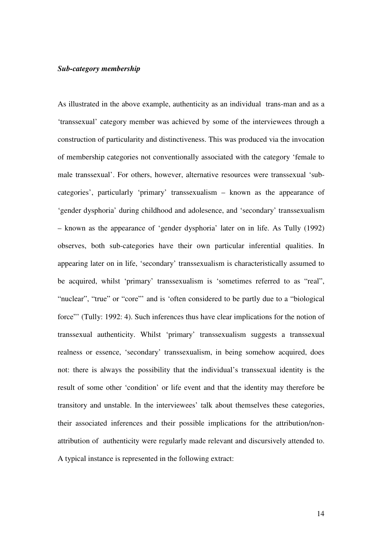#### *Sub-category membership*

As illustrated in the above example, authenticity as an individual trans-man and as a 'transsexual' category member was achieved by some of the interviewees through a construction of particularity and distinctiveness. This was produced via the invocation of membership categories not conventionally associated with the category 'female to male transsexual'. For others, however, alternative resources were transsexual 'subcategories', particularly 'primary' transsexualism – known as the appearance of 'gender dysphoria' during childhood and adolesence, and 'secondary' transsexualism – known as the appearance of 'gender dysphoria' later on in life. As Tully (1992) observes, both sub-categories have their own particular inferential qualities. In appearing later on in life, 'secondary' transsexualism is characteristically assumed to be acquired, whilst 'primary' transsexualism is 'sometimes referred to as "real", "nuclear", "true" or "core"' and is 'often considered to be partly due to a "biological force"' (Tully: 1992: 4). Such inferences thus have clear implications for the notion of transsexual authenticity. Whilst 'primary' transsexualism suggests a transsexual realness or essence, 'secondary' transsexualism, in being somehow acquired, does not: there is always the possibility that the individual's transsexual identity is the result of some other 'condition' or life event and that the identity may therefore be transitory and unstable. In the interviewees' talk about themselves these categories, their associated inferences and their possible implications for the attribution/nonattribution of authenticity were regularly made relevant and discursively attended to. A typical instance is represented in the following extract: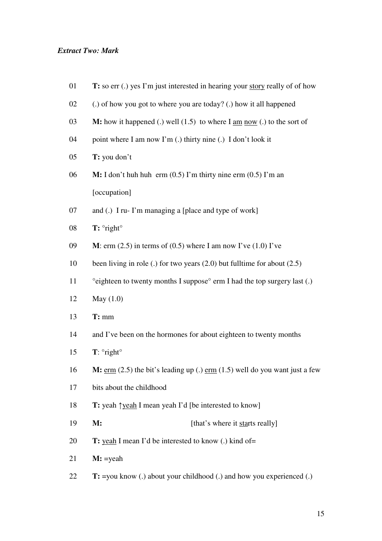## *Extract Two: Mark*

| 01 | T: so err (.) yes I'm just interested in hearing your story really of of how                            |
|----|---------------------------------------------------------------------------------------------------------|
| 02 | (.) of how you got to where you are today? (.) how it all happened                                      |
| 03 | <b>M:</b> how it happened (.) well $(1.5)$ to where I am now (.) to the sort of                         |
| 04 | point where I am now I'm (.) thirty nine (.) I don't look it                                            |
| 05 | T: you don't                                                                                            |
| 06 | <b>M:</b> I don't huh huh erm $(0.5)$ I'm thirty nine erm $(0.5)$ I'm an                                |
|    | [occupation]                                                                                            |
| 07 | and (.) I ru- I'm managing a [place and type of work]                                                   |
| 08 | $T: \degree$ right $\degree$                                                                            |
| 09 | <b>M</b> : erm $(2.5)$ in terms of $(0.5)$ where I am now I've $(1.0)$ I've                             |
| 10 | been living in role (.) for two years $(2.0)$ but fulltime for about $(2.5)$                            |
| 11 | °eighteen to twenty months I suppose° erm I had the top surgery last (.)                                |
| 12 | May $(1.0)$                                                                                             |
| 13 | $T: \, \text{mm}$                                                                                       |
| 14 | and I've been on the hormones for about eighteen to twenty months                                       |
| 15 | $T$ : $\circ$ right $\circ$                                                                             |
| 16 | $M: \underline{erm}$ (2.5) the bit's leading up (.) $\underline{erm}$ (1.5) well do you want just a few |
| 17 | bits about the childhood                                                                                |
| 18 | <b>T:</b> yeah ↑ yeah I mean yeah I'd [be interested to know]                                           |
| 19 | <b>M:</b><br>[that's where it starts really]                                                            |
| 20 | T: yeah I mean I'd be interested to know (.) kind of=                                                   |
| 21 | $M: =$ yeah                                                                                             |
| 22 | T: = you know (.) about your childhood (.) and how you experienced (.)                                  |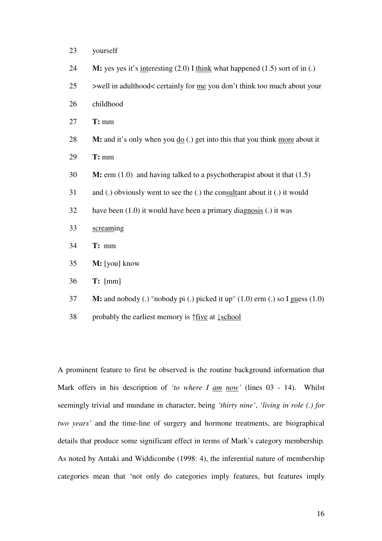- yourself
- **M:** yes yes it's interesting (2.0) I think what happened (1.5) sort of in (.)
- >well in adulthood< certainly for me you don't think too much about your
- childhood
- **T:** mm
- **M:** and it's only when you do (.) get into this that you think more about it
- **T:** mm
- **M:** erm (1.0) and having talked to a psychotherapist about it that (1.5)
- and (.) obviously went to see the (.) the consultant about it (.) it would
- have been (1.0) it would have been a primary diagnosis (.) it was
- screaming
- **T:** mm
- **M:** [you] know
- **T:** [mm]
- **M:** and nobody (.) °nobody pi (.) picked it up° (1.0) erm (.) so I guess (1.0)
- probably the earliest memory is ↑five at ↓school

A prominent feature to first be observed is the routine background information that Mark offers in his description of *'to where I am now'* (lines 03 - 14). Whilst seemingly trivial and mundane in character, being *'thirty nine'*, *'living in role (.) for two years'* and the time-line of surgery and hormone treatments, are biographical details that produce some significant effect in terms of Mark's category membership. As noted by Antaki and Widdicombe (1998: 4), the inferential nature of membership categories mean that 'not only do categories imply features, but features imply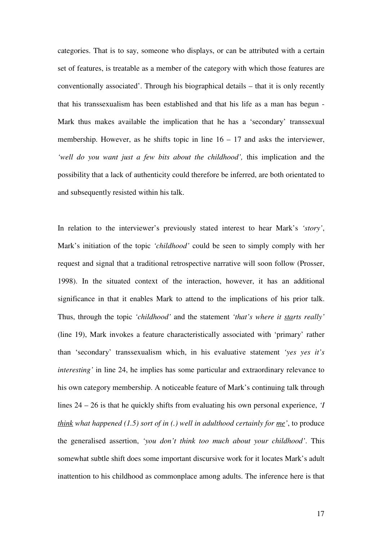categories. That is to say, someone who displays, or can be attributed with a certain set of features, is treatable as a member of the category with which those features are conventionally associated'. Through his biographical details – that it is only recently that his transsexualism has been established and that his life as a man has begun - Mark thus makes available the implication that he has a 'secondary' transsexual membership. However, as he shifts topic in line  $16 - 17$  and asks the interviewer, 'well do you want just a few bits about the childhood', this implication and the possibility that a lack of authenticity could therefore be inferred, are both orientated to and subsequently resisted within his talk.

In relation to the interviewer's previously stated interest to hear Mark's *'story'*, Mark's initiation of the topic *'childhood'* could be seen to simply comply with her request and signal that a traditional retrospective narrative will soon follow (Prosser, 1998). In the situated context of the interaction, however, it has an additional significance in that it enables Mark to attend to the implications of his prior talk. Thus, through the topic *'childhood'* and the statement *'that's where it starts really'* (line 19), Mark invokes a feature characteristically associated with 'primary' rather than 'secondary' transsexualism which, in his evaluative statement *'yes yes it's interesting'* in line 24, he implies has some particular and extraordinary relevance to his own category membership. A noticeable feature of Mark's continuing talk through lines 24 – 26 is that he quickly shifts from evaluating his own personal experience, *'I think what happened (1.5) sort of in (.) well in adulthood certainly for me'*, to produce the generalised assertion, *'you don't think too much about your childhood'*. This somewhat subtle shift does some important discursive work for it locates Mark's adult inattention to his childhood as commonplace among adults. The inference here is that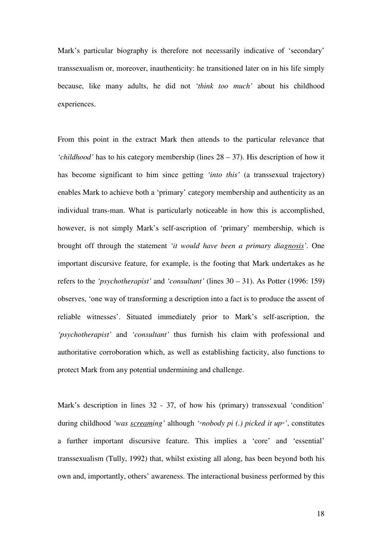Mark's particular biography is therefore not necessarily indicative of 'secondary' transsexualism or, moreover, inauthenticity: he transitioned later on in his life simply because, like many adults, he did not *'think too much'* about his childhood experiences.

From this point in the extract Mark then attends to the particular relevance that *'childhood'* has to his category membership (lines 28 – 37). His description of how it has become significant to him since getting *'into this'* (a transsexual trajectory) enables Mark to achieve both a 'primary' category membership and authenticity as an individual trans-man. What is particularly noticeable in how this is accomplished, however, is not simply Mark's self-ascription of 'primary' membership, which is brought off through the statement *'it would have been a primary diagnosis'*. One important discursive feature, for example, is the footing that Mark undertakes as he refers to the *'psychotherapist'* and *'consultant'* (lines 30 – 31). As Potter (1996: 159) observes, 'one way of transforming a description into a fact is to produce the assent of reliable witnesses'. Situated immediately prior to Mark's self-ascription, the *'psychotherapist'* and *'consultant'* thus furnish his claim with professional and authoritative corroboration which, as well as establishing facticity, also functions to protect Mark from any potential undermining and challenge.

Mark's description in lines 32 - 37, of how his (primary) transsexual 'condition' during childhood *'was screaming'* although *'*◦*nobody pi (.) picked it up*◦*'*, constitutes a further important discursive feature. This implies a 'core' and 'essential' transsexualism (Tully, 1992) that, whilst existing all along, has been beyond both his own and, importantly, others' awareness. The interactional business performed by this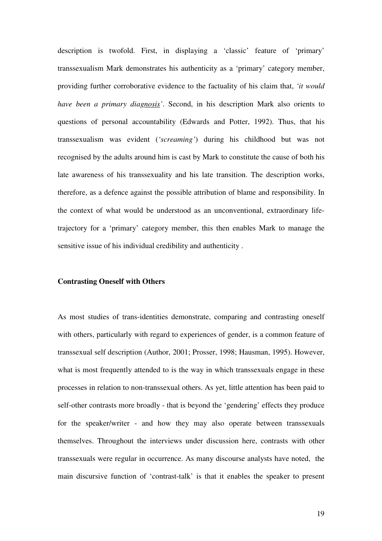description is twofold. First, in displaying a 'classic' feature of 'primary' transsexualism Mark demonstrates his authenticity as a 'primary' category member, providing further corroborative evidence to the factuality of his claim that, *'it would have been a primary diagnosis'*. Second, in his description Mark also orients to questions of personal accountability (Edwards and Potter, 1992). Thus, that his transsexualism was evident (*'screaming'*) during his childhood but was not recognised by the adults around him is cast by Mark to constitute the cause of both his late awareness of his transsexuality and his late transition. The description works, therefore, as a defence against the possible attribution of blame and responsibility. In the context of what would be understood as an unconventional, extraordinary lifetrajectory for a 'primary' category member, this then enables Mark to manage the sensitive issue of his individual credibility and authenticity .

### **Contrasting Oneself with Others**

As most studies of trans-identities demonstrate, comparing and contrasting oneself with others, particularly with regard to experiences of gender, is a common feature of transsexual self description (Author, 2001; Prosser, 1998; Hausman, 1995). However, what is most frequently attended to is the way in which transsexuals engage in these processes in relation to non-transsexual others. As yet, little attention has been paid to self-other contrasts more broadly - that is beyond the 'gendering' effects they produce for the speaker/writer - and how they may also operate between transsexuals themselves. Throughout the interviews under discussion here, contrasts with other transsexuals were regular in occurrence. As many discourse analysts have noted, the main discursive function of 'contrast-talk' is that it enables the speaker to present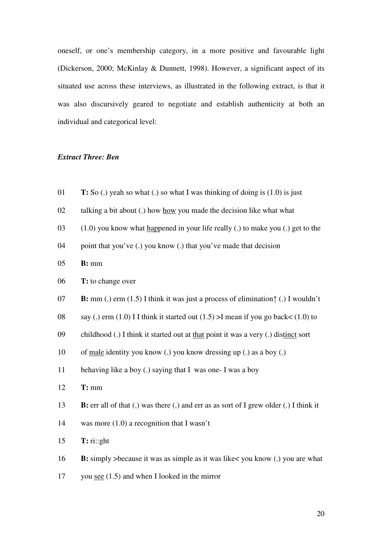oneself, or one's membership category, in a more positive and favourable light (Dickerson, 2000; McKinlay & Dunnett, 1998). However, a significant aspect of its situated use across these interviews, as illustrated in the following extract, is that it was also discursively geared to negotiate and establish authenticity at both an individual and categorical level:

### *Extract Three: Ben*

- **T:** So (.) yeah so what (.) so what I was thinking of doing is (1.0) is just
- talking a bit about (.) how how you made the decision like what what
- (1.0) you know what happened in your life really (.) to make you (.) get to the
- point that you've (.) you know (.) that you've made that decision
- **B:** mm
- **T:** to change over
- **B:** mm (.) erm (1.5) I think it was just a process of elimination↑ (.) I wouldn't
- 08 say (.) erm (1.0) I I think it started out (1.5)  $>$ I mean if you go back  $(1.0)$  to
- childhood (.) I think it started out at that point it was a very (.) distinct sort
- of male identity you know (.) you know dressing up (.) as a boy (.)
- behaving like a boy (.) saying that I was one- I was a boy
- **T:** mm
- **B:** err all of that (.) was there (.) and err as as sort of I grew older (.) I think it
- was more (1.0) a recognition that I wasn't
- **T:** ri::ght
- **B:** simply >because it was as simple as it was like< you know (.) you are what
- you see (1.5) and when I looked in the mirror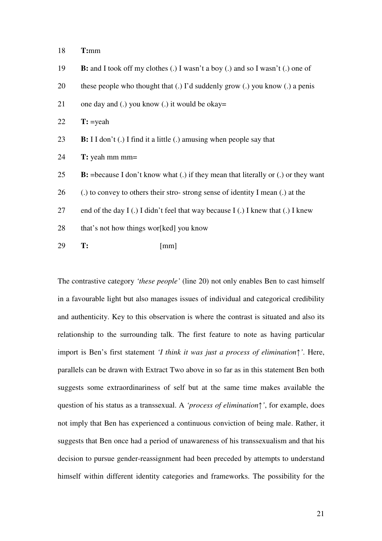18 **T:**mm

- 19 **B:** and I took off my clothes (.) I wasn't a boy (.) and so I wasn't (.) one of
- 20 these people who thought that (.) I'd suddenly grow (.) you know (.) a penis
- 21 one day and (.) you know (.) it would be okay=

22 **T:** =yeah

- 23 **B:** I I don't (.) I find it a little (.) amusing when people say that
- 24 **T:** yeah mm mm=
- 25 **B:** =because I don't know what (.) if they mean that literally or (.) or they want
- 26 (.) to convey to others their stro- strong sense of identity I mean (.) at the
- 27 end of the day I (.) I didn't feel that way because I (.) I knew that (.) I knew
- 28 that's not how things wor[ked] you know
- 29 **T:** [mm]

The contrastive category *'these people'* (line 20) not only enables Ben to cast himself in a favourable light but also manages issues of individual and categorical credibility and authenticity. Key to this observation is where the contrast is situated and also its relationship to the surrounding talk. The first feature to note as having particular import is Ben's first statement *'I think it was just a process of elimination*↑*'*. Here, parallels can be drawn with Extract Two above in so far as in this statement Ben both suggests some extraordinariness of self but at the same time makes available the question of his status as a transsexual. A *'process of elimination*↑*'*, for example, does not imply that Ben has experienced a continuous conviction of being male. Rather, it suggests that Ben once had a period of unawareness of his transsexualism and that his decision to pursue gender-reassignment had been preceded by attempts to understand himself within different identity categories and frameworks. The possibility for the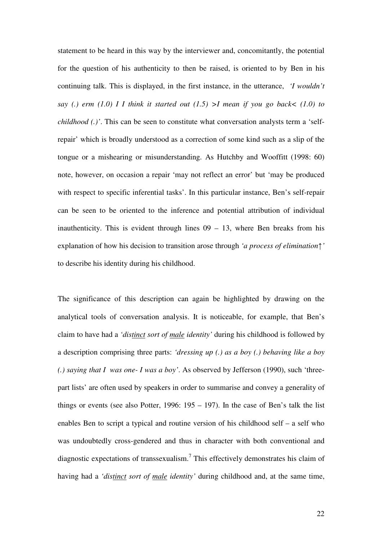statement to be heard in this way by the interviewer and, concomitantly, the potential for the question of his authenticity to then be raised, is oriented to by Ben in his continuing talk. This is displayed, in the first instance, in the utterance, *'I wouldn't say (.) erm (1.0) I I think it started out (1.5) >I mean if you go back< (1.0) to childhood (.)'*. This can be seen to constitute what conversation analysts term a 'selfrepair' which is broadly understood as a correction of some kind such as a slip of the tongue or a mishearing or misunderstanding. As Hutchby and Wooffitt (1998: 60) note, however, on occasion a repair 'may not reflect an error' but 'may be produced with respect to specific inferential tasks'. In this particular instance, Ben's self-repair can be seen to be oriented to the inference and potential attribution of individual inauthenticity. This is evident through lines  $09 - 13$ , where Ben breaks from his explanation of how his decision to transition arose through *'a process of elimination*↑*'* to describe his identity during his childhood.

The significance of this description can again be highlighted by drawing on the analytical tools of conversation analysis. It is noticeable, for example, that Ben's claim to have had a *'distinct sort of male identity'* during his childhood is followed by a description comprising three parts: *'dressing up (.) as a boy (.) behaving like a boy (.) saying that I was one- I was a boy'*. As observed by Jefferson (1990), such 'threepart lists' are often used by speakers in order to summarise and convey a generality of things or events (see also Potter,  $1996: 195 - 197$ ). In the case of Ben's talk the list enables Ben to script a typical and routine version of his childhood self – a self who was undoubtedly cross-gendered and thus in character with both conventional and diagnostic expectations of transsexualism.<sup>7</sup> This effectively demonstrates his claim of having had a *'distinct sort of male identity'* during childhood and, at the same time,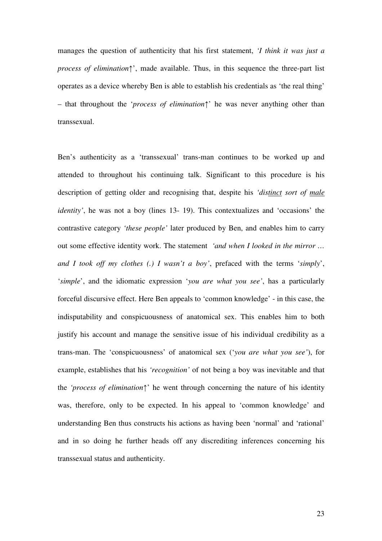manages the question of authenticity that his first statement, *'I think it was just a process of elimination*<sup>\*</sup>, made available. Thus, in this sequence the three-part list operates as a device whereby Ben is able to establish his credentials as 'the real thing' – that throughout the '*process of elimination*↑' he was never anything other than transsexual.

Ben's authenticity as a 'transsexual' trans-man continues to be worked up and attended to throughout his continuing talk. Significant to this procedure is his description of getting older and recognising that, despite his *'distinct sort of male identity'*, he was not a boy (lines 13- 19). This contextualizes and 'occasions' the contrastive category *'these people'* later produced by Ben, and enables him to carry out some effective identity work. The statement *'and when I looked in the mirror … and I took off my clothes (.) I wasn't a boy'*, prefaced with the terms '*simply*', '*simple*', and the idiomatic expression '*you are what you see'*, has a particularly forceful discursive effect. Here Ben appeals to 'common knowledge' - in this case, the indisputability and conspicuousness of anatomical sex. This enables him to both justify his account and manage the sensitive issue of his individual credibility as a trans-man. The 'conspicuousness' of anatomical sex ('*you are what you see'*), for example, establishes that his *'recognition'* of not being a boy was inevitable and that the *'process of elimination*↑' he went through concerning the nature of his identity was, therefore, only to be expected. In his appeal to 'common knowledge' and understanding Ben thus constructs his actions as having been 'normal' and 'rational' and in so doing he further heads off any discrediting inferences concerning his transsexual status and authenticity.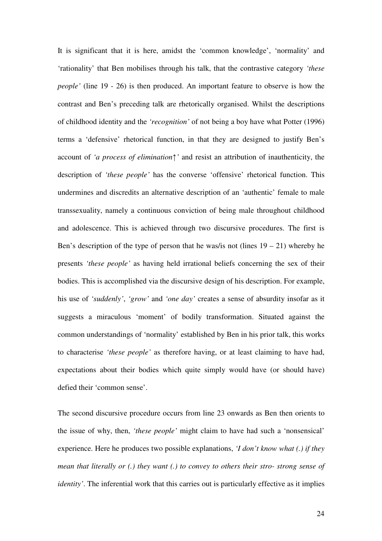It is significant that it is here, amidst the 'common knowledge', 'normality' and 'rationality' that Ben mobilises through his talk, that the contrastive category *'these people'* (line 19 - 26) is then produced. An important feature to observe is how the contrast and Ben's preceding talk are rhetorically organised. Whilst the descriptions of childhood identity and the *'recognition'* of not being a boy have what Potter (1996) terms a 'defensive' rhetorical function, in that they are designed to justify Ben's account of *'a process of elimination*↑*'* and resist an attribution of inauthenticity, the description of *'these people'* has the converse 'offensive' rhetorical function. This undermines and discredits an alternative description of an 'authentic' female to male transsexuality, namely a continuous conviction of being male throughout childhood and adolescence. This is achieved through two discursive procedures. The first is Ben's description of the type of person that he was/is not (lines  $19 - 21$ ) whereby he presents *'these people'* as having held irrational beliefs concerning the sex of their bodies. This is accomplished via the discursive design of his description. For example, his use of *'suddenly'*, *'grow'* and *'one day'* creates a sense of absurdity insofar as it suggests a miraculous 'moment' of bodily transformation. Situated against the common understandings of 'normality' established by Ben in his prior talk, this works to characterise *'these people'* as therefore having, or at least claiming to have had, expectations about their bodies which quite simply would have (or should have) defied their 'common sense'.

The second discursive procedure occurs from line 23 onwards as Ben then orients to the issue of why, then, *'these people'* might claim to have had such a 'nonsensical' experience. Here he produces two possible explanations, *'I don't know what (.) if they mean that literally or (.) they want (.) to convey to others their stro- strong sense of identity'*. The inferential work that this carries out is particularly effective as it implies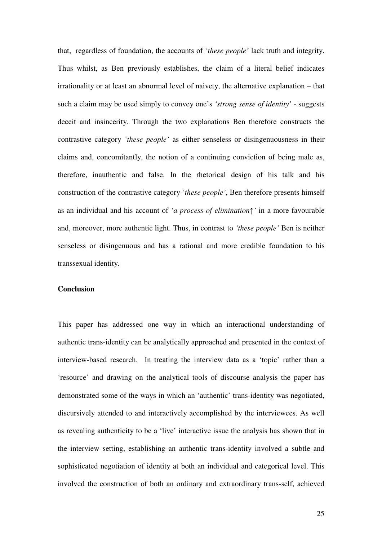that, regardless of foundation, the accounts of *'these people'* lack truth and integrity. Thus whilst, as Ben previously establishes, the claim of a literal belief indicates irrationality or at least an abnormal level of naivety, the alternative explanation – that such a claim may be used simply to convey one's *'strong sense of identity'* - suggests deceit and insincerity. Through the two explanations Ben therefore constructs the contrastive category *'these people'* as either senseless or disingenuousness in their claims and, concomitantly, the notion of a continuing conviction of being male as, therefore, inauthentic and false. In the rhetorical design of his talk and his construction of the contrastive category *'these people'*, Ben therefore presents himself as an individual and his account of *'a process of elimination*↑*'* in a more favourable and, moreover, more authentic light. Thus, in contrast to *'these people'* Ben is neither senseless or disingenuous and has a rational and more credible foundation to his transsexual identity.

#### **Conclusion**

This paper has addressed one way in which an interactional understanding of authentic trans-identity can be analytically approached and presented in the context of interview-based research. In treating the interview data as a 'topic' rather than a 'resource' and drawing on the analytical tools of discourse analysis the paper has demonstrated some of the ways in which an 'authentic' trans-identity was negotiated, discursively attended to and interactively accomplished by the interviewees. As well as revealing authenticity to be a 'live' interactive issue the analysis has shown that in the interview setting, establishing an authentic trans-identity involved a subtle and sophisticated negotiation of identity at both an individual and categorical level. This involved the construction of both an ordinary and extraordinary trans-self, achieved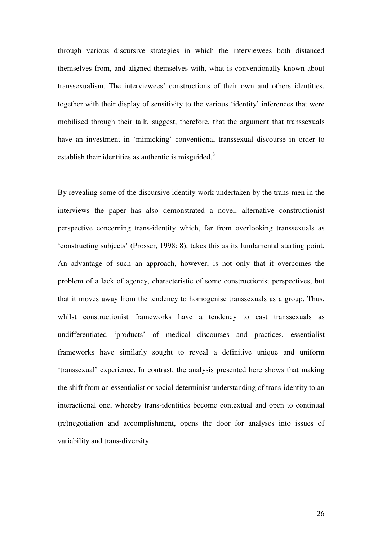through various discursive strategies in which the interviewees both distanced themselves from, and aligned themselves with, what is conventionally known about transsexualism. The interviewees' constructions of their own and others identities, together with their display of sensitivity to the various 'identity' inferences that were mobilised through their talk, suggest, therefore, that the argument that transsexuals have an investment in 'mimicking' conventional transsexual discourse in order to establish their identities as authentic is misguided.<sup>8</sup>

By revealing some of the discursive identity-work undertaken by the trans-men in the interviews the paper has also demonstrated a novel, alternative constructionist perspective concerning trans-identity which, far from overlooking transsexuals as 'constructing subjects' (Prosser, 1998: 8), takes this as its fundamental starting point. An advantage of such an approach, however, is not only that it overcomes the problem of a lack of agency, characteristic of some constructionist perspectives, but that it moves away from the tendency to homogenise transsexuals as a group. Thus, whilst constructionist frameworks have a tendency to cast transsexuals as undifferentiated 'products' of medical discourses and practices, essentialist frameworks have similarly sought to reveal a definitive unique and uniform 'transsexual' experience. In contrast, the analysis presented here shows that making the shift from an essentialist or social determinist understanding of trans-identity to an interactional one, whereby trans-identities become contextual and open to continual (re)negotiation and accomplishment, opens the door for analyses into issues of variability and trans-diversity.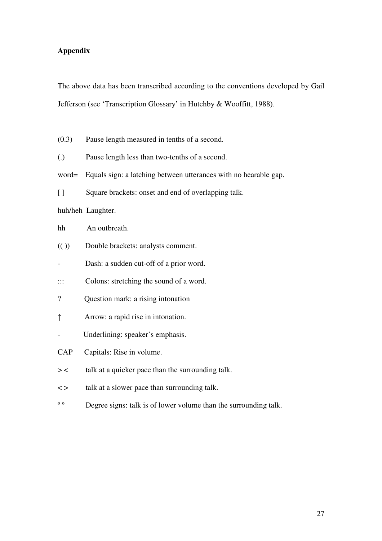## **Appendix**

The above data has been transcribed according to the conventions developed by Gail Jefferson (see 'Transcription Glossary' in Hutchby & Wooffitt, 1988).

(0.3) Pause length measured in tenths of a second.

(.) Pause length less than two-tenths of a second.

- word= Equals sign: a latching between utterances with no hearable gap.
- [ ] Square brackets: onset and end of overlapping talk.

huh/heh Laughter.

## hh An outbreath.

- (( )) Double brackets: analysts comment.
- Dash: a sudden cut-off of a prior word.
- ::: Colons: stretching the sound of a word.
- ? Question mark: a rising intonation
- ↑ Arrow: a rapid rise in intonation.
- Underlining: speaker's emphasis.
- CAP Capitals: Rise in volume.
- > < talk at a quicker pace than the surrounding talk.
- < > talk at a slower pace than surrounding talk.
- <sup>o o</sup> Degree signs: talk is of lower volume than the surrounding talk.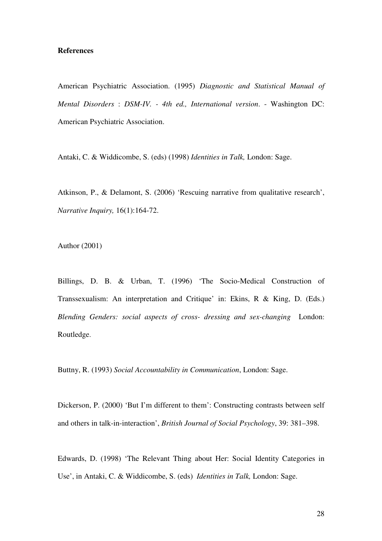## **References**

American Psychiatric Association. (1995) *Diagnostic and Statistical Manual of Mental Disorders* : *DSM-IV. - 4th ed., International version*. - Washington DC: American Psychiatric Association.

Antaki, C. & Widdicombe, S. (eds) (1998) *Identities in Talk,* London: Sage.

Atkinson, P., & Delamont, S. (2006) 'Rescuing narrative from qualitative research', *Narrative Inquiry,* 16(1):164-72.

Author (2001)

Billings, D. B. & Urban, T. (1996) 'The Socio-Medical Construction of Transsexualism: An interpretation and Critique' in: Ekins, R & King, D. (Eds.) *Blending Genders: social aspects of cross- dressing and sex-changing* London: Routledge.

Buttny, R. (1993) *Social Accountability in Communication*, London: Sage.

Dickerson, P. (2000) 'But I'm different to them': Constructing contrasts between self and others in talk-in-interaction', *British Journal of Social Psychology*, 39: 381–398.

Edwards, D. (1998) 'The Relevant Thing about Her: Social Identity Categories in Use', in Antaki, C. & Widdicombe, S. (eds) *Identities in Talk,* London: Sage.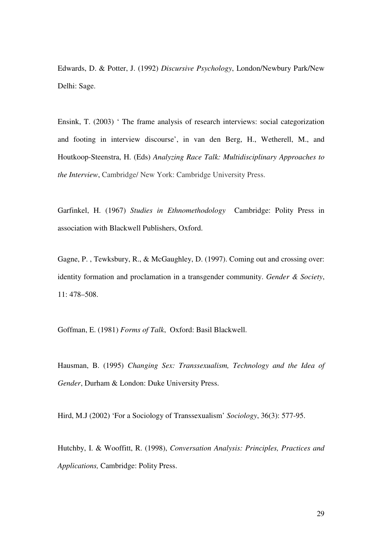Edwards, D. & Potter, J. (1992) *Discursive Psychology*, London/Newbury Park/New Delhi: Sage.

Ensink, T. (2003) ' The frame analysis of research interviews: social categorization and footing in interview discourse', in van den Berg, H., Wetherell, M., and Houtkoop-Steenstra, H. (Eds) *Analyzing Race Talk: Multidisciplinary Approaches to the Interview*, Cambridge/ New York: Cambridge University Press.

Garfinkel, H. (1967) *Studies in Ethnomethodology* Cambridge: Polity Press in association with Blackwell Publishers, Oxford.

Gagne, P. , Tewksbury, R., & McGaughley, D. (1997). Coming out and crossing over: identity formation and proclamation in a transgender community. *Gender & Society*, 11: 478–508.

Goffman, E. (1981) *Forms of Talk*, Oxford: Basil Blackwell.

Hausman, B. (1995) *Changing Sex: Transsexualism, Technology and the Idea of Gender*, Durham & London: Duke University Press.

Hird, M.J (2002) 'For a Sociology of Transsexualism' *Sociology*, 36(3): 577-95.

Hutchby, I. & Wooffitt, R. (1998), *Conversation Analysis: Principles, Practices and Applications,* Cambridge: Polity Press.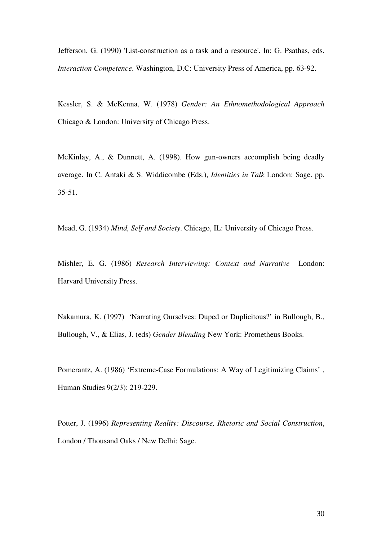Jefferson, G. (1990) 'List-construction as a task and a resource'. In: G. Psathas, eds. *Interaction Competence*. Washington, D.C: University Press of America, pp. 63-92.

Kessler, S. & McKenna, W. (1978) *Gender: An Ethnomethodological Approach* Chicago & London: University of Chicago Press.

McKinlay, A., & Dunnett, A. (1998). How gun-owners accomplish being deadly average. In C. Antaki & S. Widdicombe (Eds.), *Identities in Talk* London: Sage. pp. 35-51.

Mead, G. (1934) *Mind, Self and Society*. Chicago, IL: University of Chicago Press.

Mishler, E. G. (1986) *Research Interviewing: Context and Narrative* London: Harvard University Press.

Nakamura, K. (1997) 'Narrating Ourselves: Duped or Duplicitous?' in Bullough, B., Bullough, V., & Elias, J. (eds) *Gender Blending* New York: Prometheus Books.

Pomerantz, A. (1986) 'Extreme-Case Formulations: A Way of Legitimizing Claims' , Human Studies 9(2/3): 219-229.

Potter, J. (1996) *Representing Reality: Discourse, Rhetoric and Social Construction*, London / Thousand Oaks / New Delhi: Sage.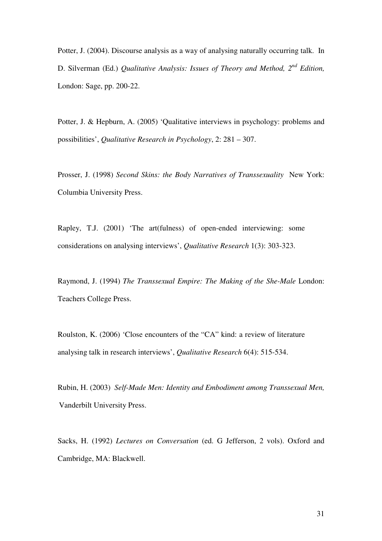Potter, J. (2004). Discourse analysis as a way of analysing naturally occurring talk. In D. Silverman (Ed.) *Qualitative Analysis: Issues of Theory and Method, 2<sup>nd</sup> Edition,* London: Sage, pp. 200-22.

Potter, J. & Hepburn, A. (2005) 'Qualitative interviews in psychology: problems and possibilities', *Qualitative Research in Psychology*, 2: 281 – 307.

Prosser, J. (1998) *Second Skins: the Body Narratives of Transsexuality* New York: Columbia University Press.

Rapley, T.J. (2001) 'The art(fulness) of open-ended interviewing: some considerations on analysing interviews', *Qualitative Research* 1(3): 303-323.

Raymond, J. (1994) *The Transsexual Empire: The Making of the She-Male* London: Teachers College Press.

Roulston, K. (2006) 'Close encounters of the "CA" kind: a review of literature analysing talk in research interviews', *Qualitative Research* 6(4): 515-534.

Rubin, H. (2003) *Self-Made Men: Identity and Embodiment among Transsexual Men,* Vanderbilt University Press.

Sacks, H. (1992) *Lectures on Conversation* (ed. G Jefferson, 2 vols). Oxford and Cambridge, MA: Blackwell.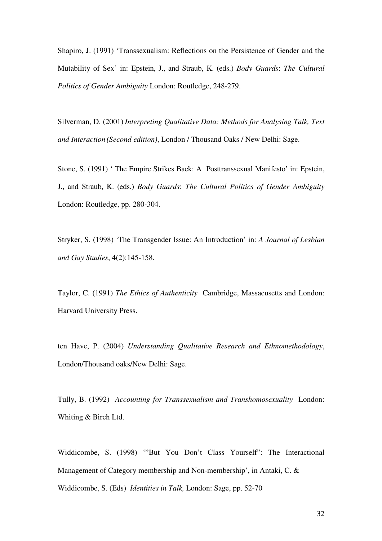Shapiro, J. (1991) 'Transsexualism: Reflections on the Persistence of Gender and the Mutability of Sex' in: Epstein, J., and Straub, K. (eds.) *Body Guards*: *The Cultural Politics of Gender Ambiguity* London: Routledge, 248-279.

Silverman, D. (2001) *Interpreting Qualitative Data: Methods for Analysing Talk, Text and Interaction (Second edition)*, London / Thousand Oaks / New Delhi: Sage.

Stone, S. (1991) ' The Empire Strikes Back: A Posttranssexual Manifesto' in: Epstein, J., and Straub, K. (eds.) *Body Guards*: *The Cultural Politics of Gender Ambiguity* London: Routledge, pp. 280-304.

Stryker, S. (1998) 'The Transgender Issue: An Introduction' in: *A Journal of Lesbian and Gay Studies*, 4(2):145-158.

Taylor, C. (1991) *The Ethics of Authenticity* Cambridge, Massacusetts and London: Harvard University Press.

ten Have, P. (2004) *Understanding Qualitative Research and Ethnomethodology*, London/Thousand oaks/New Delhi: Sage.

Tully, B. (1992) *Accounting for Transsexualism and Transhomosexuality* London: Whiting & Birch Ltd.

Widdicombe, S. (1998) '"But You Don't Class Yourself": The Interactional Management of Category membership and Non-membership', in Antaki, C. & Widdicombe, S. (Eds) *Identities in Talk,* London: Sage, pp. 52-70